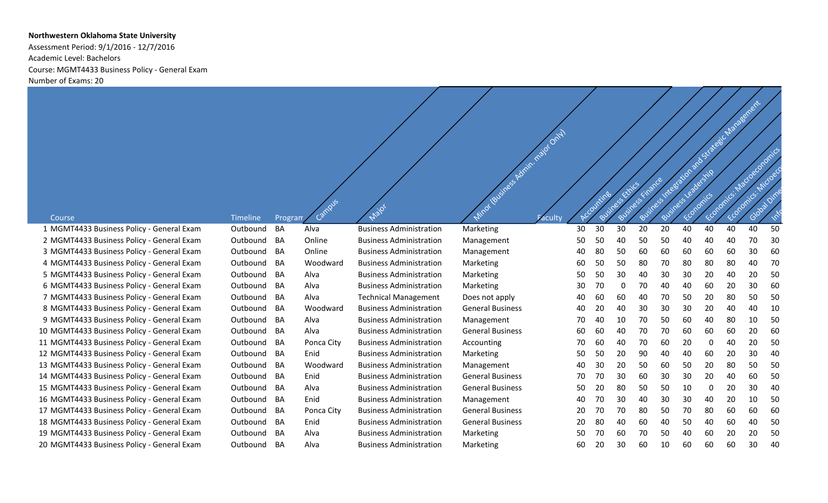## **Northwestern Oklahoma State University**

Assessment Period: 9/1/2016 - 12/7/2016 Academic Level: Bachelors Course: MGMT4433 Business Policy - General Exam Number of Exams: 20

|                                            |             |         |            |                                |                                    |    |    |          |    |    |    |    |    | Sustainabilities and Strategic Nanagement |    |
|--------------------------------------------|-------------|---------|------------|--------------------------------|------------------------------------|----|----|----------|----|----|----|----|----|-------------------------------------------|----|
|                                            |             |         |            |                                |                                    |    |    |          |    |    |    |    |    |                                           |    |
|                                            |             |         |            |                                | Miror (Business Admin. rajor only) |    |    |          |    |    |    |    |    |                                           |    |
|                                            |             |         |            |                                |                                    |    |    |          |    |    |    |    |    | Fconomics: Macroconomics                  |    |
|                                            |             |         |            |                                |                                    |    |    |          |    |    |    |    |    |                                           |    |
|                                            |             |         |            |                                |                                    |    |    |          |    |    |    |    |    |                                           |    |
|                                            |             |         |            |                                |                                    |    |    |          |    |    |    |    |    |                                           |    |
|                                            |             |         |            |                                |                                    |    |    | Business |    |    |    |    |    |                                           |    |
| Course                                     | Timeline    | Program | Campus     | Major                          |                                    |    |    |          |    |    |    |    |    |                                           |    |
| 1 MGMT4433 Business Policy - General Exam  | Outbound    | BA      | Alva       | <b>Business Administration</b> | Marketing                          | 30 | 30 | 30       | 20 | 20 | 40 | 40 | 40 | 40                                        | 50 |
| 2 MGMT4433 Business Policy - General Exam  | Outbound    | BA      | Online     | <b>Business Administration</b> | Management                         | 50 | 50 | 40       | 50 | 50 | 40 | 40 | 40 | 70                                        | 30 |
| 3 MGMT4433 Business Policy - General Exam  | Outbound BA |         | Online     | <b>Business Administration</b> | Management                         | 40 | 80 | 50       | 60 | 60 | 60 | 60 | 60 | 30                                        | 60 |
| 4 MGMT4433 Business Policy - General Exam  | Outbound    | BA      | Woodward   | <b>Business Administration</b> | Marketing                          | 60 | 50 | 50       | 80 | 70 | 80 | 80 | 80 | 40                                        | 70 |
| 5 MGMT4433 Business Policy - General Exam  | Outbound    | BA      | Alva       | <b>Business Administration</b> | Marketing                          | 50 | 50 | 30       | 40 | 30 | 30 | 20 | 40 | 20                                        | 50 |
| 6 MGMT4433 Business Policy - General Exam  | Outbound BA |         | Alva       | <b>Business Administration</b> | Marketing                          | 30 | 70 | $\Omega$ | 70 | 40 | 40 | 60 | 20 | 30                                        | 60 |
| 7 MGMT4433 Business Policy - General Exam  | Outbound BA |         | Alva       | <b>Technical Management</b>    | Does not apply                     | 40 | 60 | 60       | 40 | 70 | 50 | 20 | 80 | 50                                        | 50 |
| 8 MGMT4433 Business Policy - General Exam  | Outbound    | BA      | Woodward   | <b>Business Administration</b> | <b>General Business</b>            | 40 | 20 | 40       | 30 | 30 | 30 | 20 | 40 | 40                                        | 10 |
| 9 MGMT4433 Business Policy - General Exam  | Outbound    | BA      | Alva       | <b>Business Administration</b> | Management                         | 70 | 40 | 10       | 70 | 50 | 60 | 40 | 80 | 10                                        | 50 |
| 10 MGMT4433 Business Policy - General Exam | Outbound BA |         | Alva       | <b>Business Administration</b> | <b>General Business</b>            | 60 | 60 | 40       | 70 | 70 | 60 | 60 | 60 | 20                                        | 60 |
| 11 MGMT4433 Business Policy - General Exam | Outbound    | BA      | Ponca City | <b>Business Administration</b> | Accounting                         | 70 | 60 | 40       | 70 | 60 | 20 | 0  | 40 | 20                                        | 50 |
| 12 MGMT4433 Business Policy - General Exam | Outbound    | BA      | Enid       | <b>Business Administration</b> | Marketing                          | 50 | 50 | 20       | 90 | 40 | 40 | 60 | 20 | 30                                        | 40 |
| 13 MGMT4433 Business Policy - General Exam | Outbound BA |         | Woodward   | <b>Business Administration</b> | Management                         | 40 | 30 | 20       | 50 | 60 | 50 | 20 | 80 | 50                                        | 50 |
| 14 MGMT4433 Business Policy - General Exam | Outbound BA |         | Enid       | <b>Business Administration</b> | <b>General Business</b>            | 70 | 70 | 30       | 60 | 30 | 30 | 20 | 40 | 60                                        | 50 |
| 15 MGMT4433 Business Policy - General Exam | Outbound BA |         | Alva       | <b>Business Administration</b> | <b>General Business</b>            | 50 | 20 | 80       | 50 | 50 | 10 | 0  | 20 | 30                                        | 40 |
| 16 MGMT4433 Business Policy - General Exam | Outbound    | BA      | Enid       | <b>Business Administration</b> | Management                         | 40 | 70 | 30       | 40 | 30 | 30 | 40 | 20 | 10                                        | 50 |
| 17 MGMT4433 Business Policy - General Exam | Outbound    | BA      | Ponca City | <b>Business Administration</b> | <b>General Business</b>            | 20 | 70 | 70       | 80 | 50 | 70 | 80 | 60 | 60                                        | 60 |
| 18 MGMT4433 Business Policy - General Exam | Outbound    | BA      | Enid       | <b>Business Administration</b> | <b>General Business</b>            | 20 | 80 | 40       | 60 | 40 | 50 | 40 | 60 | 40                                        | 50 |
| 19 MGMT4433 Business Policy - General Exam | Outbound    | BA      | Alva       | <b>Business Administration</b> | Marketing                          | 50 | 70 | 60       | 70 | 50 | 40 | 60 | 20 | 20                                        | 50 |
| 20 MGMT4433 Business Policy - General Exam | Outbound BA |         | Alva       | <b>Business Administration</b> | Marketing                          | 60 | 20 | 30       | 60 | 10 | 60 | 60 | 60 | 30                                        | 40 |
|                                            |             |         |            |                                |                                    |    |    |          |    |    |    |    |    |                                           |    |